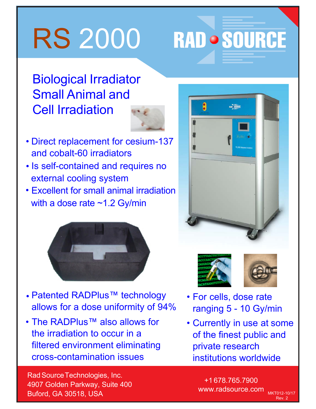## RS 2000

**RAD · SOURCE** 

## Biological Irradiator Small Animal and Cell Irradiation



- Direct replacement for cesium-137 and cobalt-60 irradiators
- Is self-contained and requires no external cooling system
- Excellent for small animal irradiation with a dose rate ~1.2 Gy/min



- Patented RADPlus™ technology allows for a dose uniformity of 94%
- The RADPlus™ also allows for the irradiation to occur in a filtered environment eliminating cross-contamination issues







MKT012-10/17 Rev. 2

- For cells, dose rate ranging 5 - 10 Gy/min
- Currently in use at some of the finest public and private research institutions worldwide

Rad Source Technologies, Inc. 4907 Golden Parkway, Suite 400 Buford, GA 30518, USA

+1 678.765.7900 www.radsource.com